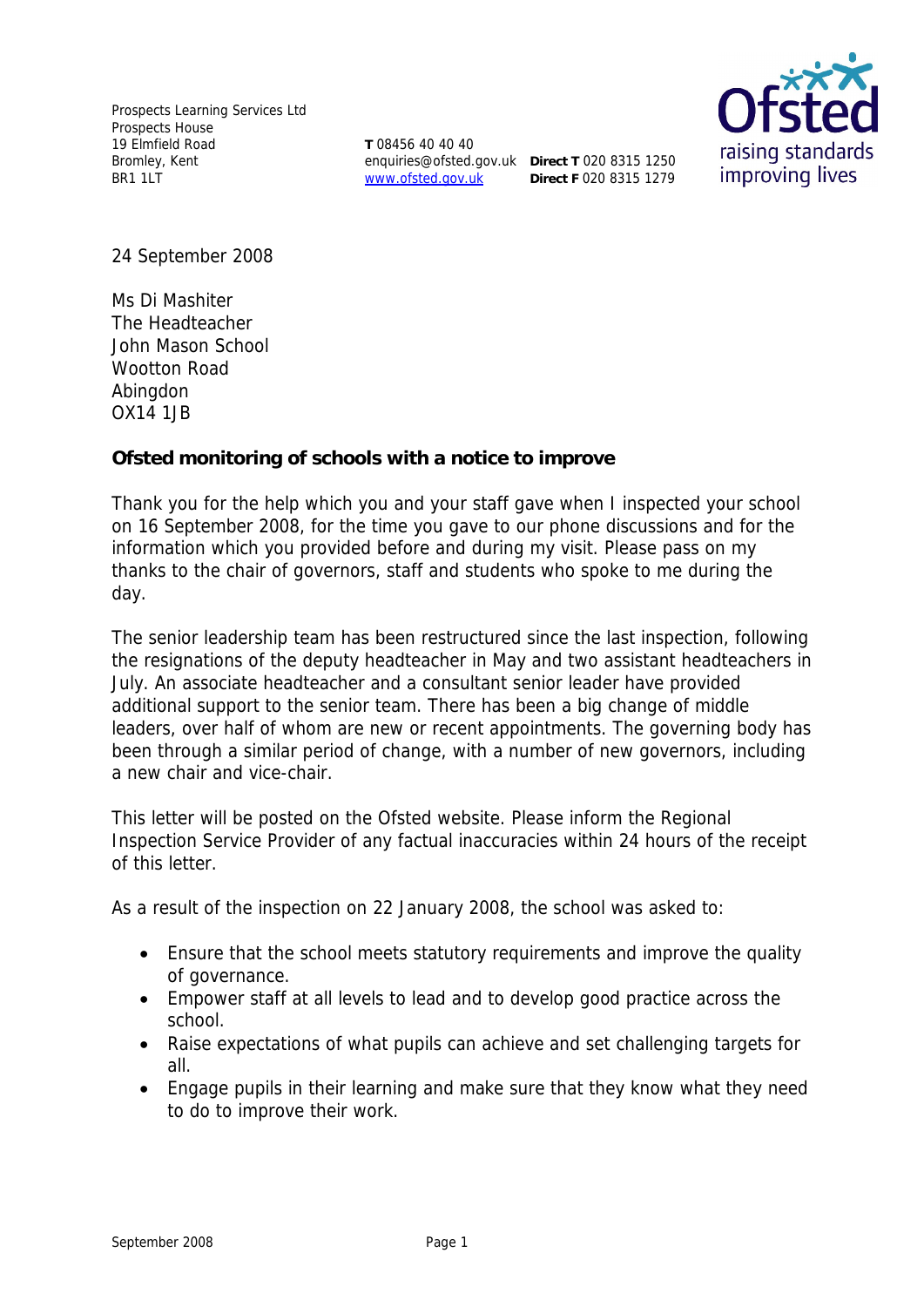Prospects Learning Services Ltd Prospects House 19 Elmfield Road Bromley, Kent BR1 1LT

**T** 08456 40 40 40 enquiries@ofsted.gov.uk **Direct T** 020 8315 1250 www.ofsted.gov.uk

**Direct F** 020 8315 1279



24 September 2008

Ms Di Mashiter The Headteacher John Mason School Wootton Road Abingdon OX14 1JB

**Ofsted monitoring of schools with a notice to improve**

Thank you for the help which you and your staff gave when I inspected your school on 16 September 2008, for the time you gave to our phone discussions and for the information which you provided before and during my visit. Please pass on my thanks to the chair of governors, staff and students who spoke to me during the day.

The senior leadership team has been restructured since the last inspection, following the resignations of the deputy headteacher in May and two assistant headteachers in July. An associate headteacher and a consultant senior leader have provided additional support to the senior team. There has been a big change of middle leaders, over half of whom are new or recent appointments. The governing body has been through a similar period of change, with a number of new governors, including a new chair and vice-chair.

This letter will be posted on the Ofsted website. Please inform the Regional Inspection Service Provider of any factual inaccuracies within 24 hours of the receipt of this letter.

As a result of the inspection on 22 January 2008, the school was asked to:

- Ensure that the school meets statutory requirements and improve the quality of governance.
- Empower staff at all levels to lead and to develop good practice across the school.
- Raise expectations of what pupils can achieve and set challenging targets for all.
- Engage pupils in their learning and make sure that they know what they need to do to improve their work.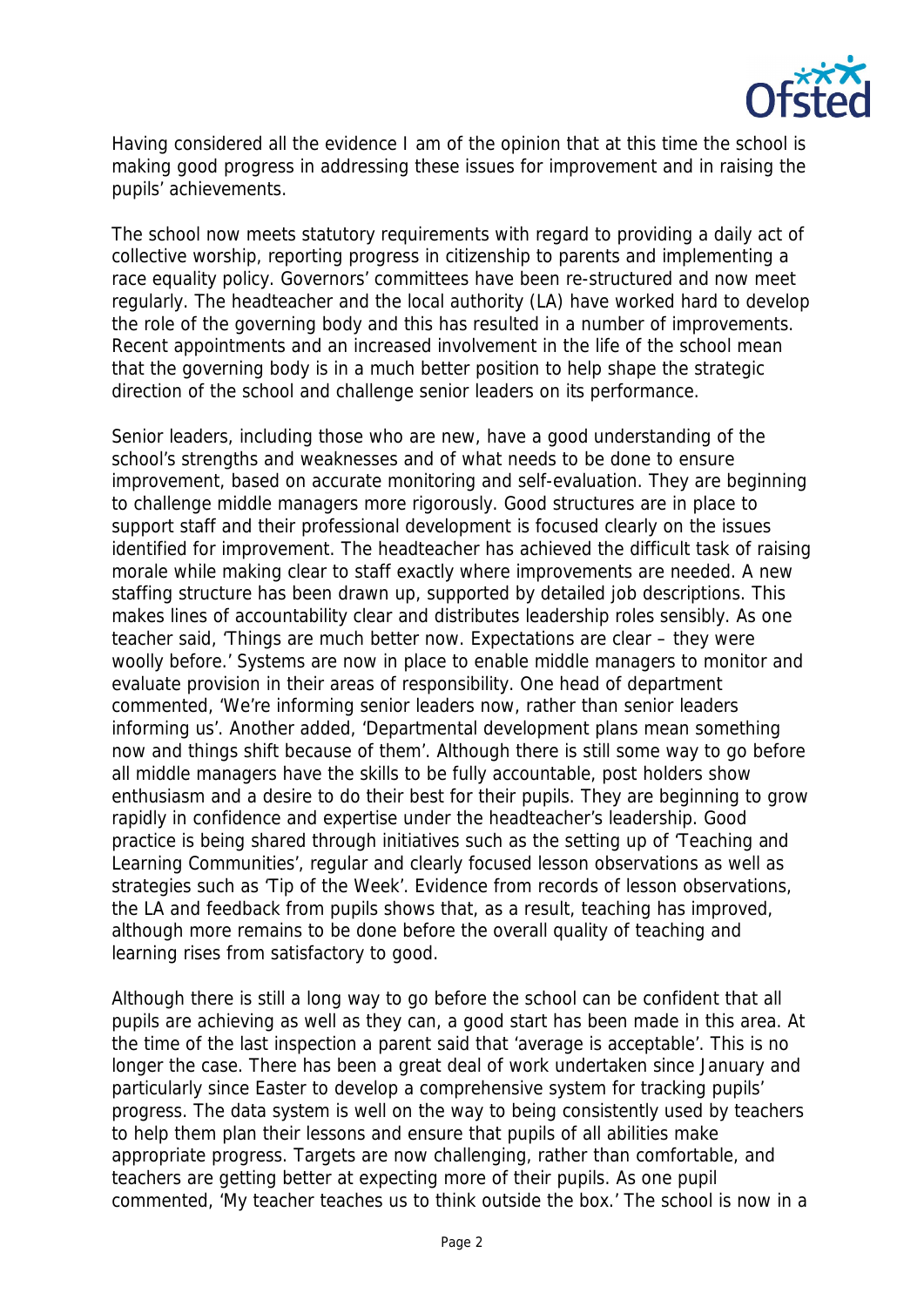

Having considered all the evidence I am of the opinion that at this time the school is making good progress in addressing these issues for improvement and in raising the pupils' achievements.

The school now meets statutory requirements with regard to providing a daily act of collective worship, reporting progress in citizenship to parents and implementing a race equality policy. Governors' committees have been re-structured and now meet regularly. The headteacher and the local authority (LA) have worked hard to develop the role of the governing body and this has resulted in a number of improvements. Recent appointments and an increased involvement in the life of the school mean that the governing body is in a much better position to help shape the strategic direction of the school and challenge senior leaders on its performance.

Senior leaders, including those who are new, have a good understanding of the school's strengths and weaknesses and of what needs to be done to ensure improvement, based on accurate monitoring and self-evaluation. They are beginning to challenge middle managers more rigorously. Good structures are in place to support staff and their professional development is focused clearly on the issues identified for improvement. The headteacher has achieved the difficult task of raising morale while making clear to staff exactly where improvements are needed. A new staffing structure has been drawn up, supported by detailed job descriptions. This makes lines of accountability clear and distributes leadership roles sensibly. As one teacher said, 'Things are much better now. Expectations are clear – they were woolly before.' Systems are now in place to enable middle managers to monitor and evaluate provision in their areas of responsibility. One head of department commented, 'We're informing senior leaders now, rather than senior leaders informing us'. Another added, 'Departmental development plans mean something now and things shift because of them'. Although there is still some way to go before all middle managers have the skills to be fully accountable, post holders show enthusiasm and a desire to do their best for their pupils. They are beginning to grow rapidly in confidence and expertise under the headteacher's leadership. Good practice is being shared through initiatives such as the setting up of 'Teaching and Learning Communities', regular and clearly focused lesson observations as well as strategies such as 'Tip of the Week'. Evidence from records of lesson observations, the LA and feedback from pupils shows that, as a result, teaching has improved, although more remains to be done before the overall quality of teaching and learning rises from satisfactory to good.

Although there is still a long way to go before the school can be confident that all pupils are achieving as well as they can, a good start has been made in this area. At the time of the last inspection a parent said that 'average is acceptable'. This is no longer the case. There has been a great deal of work undertaken since January and particularly since Easter to develop a comprehensive system for tracking pupils' progress. The data system is well on the way to being consistently used by teachers to help them plan their lessons and ensure that pupils of all abilities make appropriate progress. Targets are now challenging, rather than comfortable, and teachers are getting better at expecting more of their pupils. As one pupil commented, 'My teacher teaches us to think outside the box.' The school is now in a